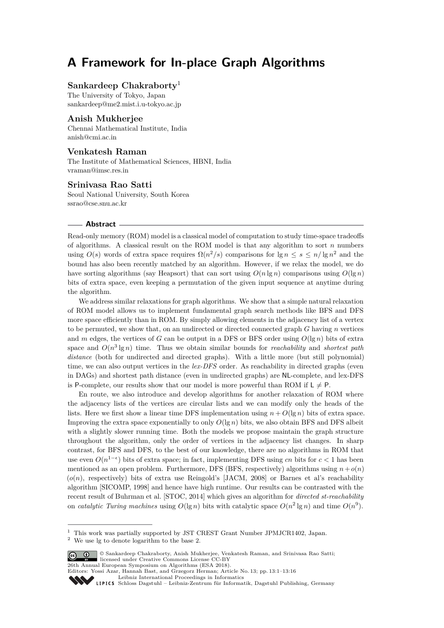# **A Framework for In-place Graph Algorithms**

# **Sankardeep Chakraborty**<sup>1</sup>

The University of Tokyo, Japan [sankardeep@me2.mist.i.u-tokyo.ac.jp](mailto:sankardeep@me2.mist.i.u-tokyo.ac.jp)

# **Anish Mukherjee**

Chennai Mathematical Institute, India [anish@cmi.ac.in](mailto:anish@cmi.ac.in)

### **Venkatesh Raman**

The Institute of Mathematical Sciences, HBNI, India [vraman@imsc.res.in](mailto:vraman@imsc.res.in)

### **Srinivasa Rao Satti**

Seoul National University, South Korea [ssrao@cse.snu.ac.kr](mailto:ssrao@cse.snu.ac.kr)

### **Abstract**

Read-only memory (ROM) model is a classical model of computation to study time-space tradeoffs of algorithms. A classical result on the ROM model is that any algorithm to sort *n* numbers using  $O(s)$  words of extra space requires  $\Omega(n^2/s)$  $\Omega(n^2/s)$  $\Omega(n^2/s)$  comparisons for  $\lg n \leq s \leq n/\lg n^2$  and the bound has also been recently matched by an algorithm. However, if we relax the model, we do have sorting algorithms (say Heapsort) that can sort using  $O(n \lg n)$  comparisons using  $O(\lg n)$ bits of extra space, even keeping a permutation of the given input sequence at anytime during the algorithm.

We address similar relaxations for graph algorithms. We show that a simple natural relaxation of ROM model allows us to implement fundamental graph search methods like BFS and DFS more space efficiently than in ROM. By simply allowing elements in the adjacency list of a vertex to be permuted, we show that, on an undirected or directed connected graph *G* having *n* vertices and *m* edges, the vertices of *G* can be output in a DFS or BFS order using  $O(\lg n)$  bits of extra space and  $O(n^3 \lg n)$  time. Thus we obtain similar bounds for *reachability* and *shortest path* distance (both for undirected and directed graphs). With a little more (but still polynomial) time, we can also output vertices in the *lex-DFS* order. As reachability in directed graphs (even in DAGs) and shortest path distance (even in undirected graphs) are NL-complete, and lex-DFS is P-complete, our results show that our model is more powerful than ROM if  $L \neq P$ .

En route, we also introduce and develop algorithms for another relaxation of ROM where the adjacency lists of the vertices are circular lists and we can modify only the heads of the lists. Here we first show a linear time DFS implementation using  $n + O(\lg n)$  bits of extra space. Improving the extra space exponentially to only  $O(\lg n)$  bits, we also obtain BFS and DFS albeit with a slightly slower running time. Both the models we propose maintain the graph structure throughout the algorithm, only the order of vertices in the adjacency list changes. In sharp contrast, for BFS and DFS, to the best of our knowledge, there are no algorithms in ROM that use even  $O(n^{1-\epsilon})$  bits of extra space; in fact, implementing DFS using *cn* bits for  $c < 1$  has been mentioned as an open problem. Furthermore, DFS (BFS, respectively) algorithms using  $n + o(n)$  $(o(n)$ , respectively) bits of extra use Reingold's [JACM, 2008] or Barnes et al's reachability algorithm [SICOMP, 1998] and hence have high runtime. Our results can be contrasted with the recent result of Buhrman et al. [STOC, 2014] which gives an algorithm for *directed st-reachability* on *catalytic Turing machines* using  $O(\lg n)$  bits with catalytic space  $O(n^2 \lg n)$  and time  $O(n^9)$ .

<span id="page-0-0"></span><sup>2</sup> We use lg to denote logarithm to the base 2.



© Sankardeep Chakraborty, Anish Mukherjee, Venkatesh Raman, and Srinivasa Rao Satti; licensed under Creative Commons License CC-BY 26th Annual European Symposium on Algorithms (ESA 2018).

Editors: Yossi Azar, Hannah Bast, and Grzegorz Herman; Article No. 13; pp. 13:1–13[:16](#page-15-0) [Leibniz International Proceedings in Informatics](http://www.dagstuhl.de/lipics/)

[Schloss Dagstuhl – Leibniz-Zentrum für Informatik, Dagstuhl Publishing, Germany](http://www.dagstuhl.de)

<sup>&</sup>lt;sup>1</sup> This work was partially supported by JST CREST Grant Number JPMJCR1402, Japan.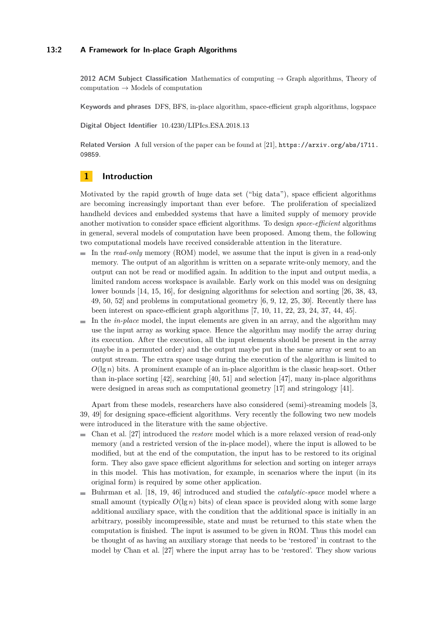### **13:2 A Framework for In-place Graph Algorithms**

**2012 ACM Subject Classification** Mathematics of computing → Graph algorithms, Theory of  $computation \rightarrow Models of computation$ 

**Keywords and phrases** DFS, BFS, in-place algorithm, space-efficient graph algorithms, logspace

**Digital Object Identifier** [10.4230/LIPIcs.ESA.2018.13](http://dx.doi.org/10.4230/LIPIcs.ESA.2018.13)

**Related Version** A full version of the paper can be found at [\[21\]](#page-13-0), [https://arxiv.org/abs/1711.](https://arxiv.org/abs/1711.09859) [09859](https://arxiv.org/abs/1711.09859).

# **1 Introduction**

Motivated by the rapid growth of huge data set ("big data"), space efficient algorithms are becoming increasingly important than ever before. The proliferation of specialized handheld devices and embedded systems that have a limited supply of memory provide another motivation to consider space efficient algorithms. To design *space-efficient* algorithms in general, several models of computation have been proposed. Among them, the following two computational models have received considerable attention in the literature.

- In the *read-only* memory (ROM) model, we assume that the input is given in a read-only memory. The output of an algorithm is written on a separate write-only memory, and the output can not be read or modified again. In addition to the input and output media, a limited random access workspace is available. Early work on this model was on designing lower bounds [\[14,](#page-12-0) [15,](#page-12-1) [16\]](#page-13-1), for designing algorithms for selection and sorting [\[26,](#page-13-2) [38,](#page-14-0) [43,](#page-14-1) [49,](#page-14-2) [50,](#page-14-3) [52\]](#page-15-1) and problems in computational geometry [\[6,](#page-12-2) [9,](#page-12-3) [12,](#page-12-4) [25,](#page-13-3) [30\]](#page-13-4). Recently there has been interest on space-efficient graph algorithms [\[7,](#page-12-5) [10,](#page-12-6) [11,](#page-12-7) [22,](#page-13-5) [23,](#page-13-6) [24,](#page-13-7) [37,](#page-14-4) [44,](#page-14-5) [45\]](#page-14-6).
- $\blacksquare$  In the *in-place* model, the input elements are given in an array, and the algorithm may use the input array as working space. Hence the algorithm may modify the array during its execution. After the execution, all the input elements should be present in the array (maybe in a permuted order) and the output maybe put in the same array or sent to an output stream. The extra space usage during the execution of the algorithm is limited to  $O(\lg n)$  bits. A prominent example of an in-place algorithm is the classic heap-sort. Other than in-place sorting [\[42\]](#page-14-7), searching [\[40,](#page-14-8) [51\]](#page-14-9) and selection [\[47\]](#page-14-10), many in-place algorithms were designed in areas such as computational geometry [\[17\]](#page-13-8) and stringology [\[41\]](#page-14-11).

Apart from these models, researchers have also considered (semi)-streaming models [\[3,](#page-12-8) [39,](#page-14-12) [49\]](#page-14-2) for designing space-efficient algorithms. Very recently the following two new models were introduced in the literature with the same objective.

- Chan et al. [\[27\]](#page-13-9) introduced the *restore* model which is a more relaxed version of read-only  $\equiv$ memory (and a restricted version of the in-place model), where the input is allowed to be modified, but at the end of the computation, the input has to be restored to its original form. They also gave space efficient algorithms for selection and sorting on integer arrays in this model. This has motivation, for example, in scenarios where the input (in its original form) is required by some other application.
- Buhrman et al. [\[18,](#page-13-10) [19,](#page-13-11) [46\]](#page-14-13) introduced and studied the *catalytic-space* model where a small amount (typically  $O(\lg n)$  bits) of clean space is provided along with some large additional auxiliary space, with the condition that the additional space is initially in an arbitrary, possibly incompressible, state and must be returned to this state when the computation is finished. The input is assumed to be given in ROM. Thus this model can be thought of as having an auxiliary storage that needs to be 'restored' in contrast to the model by Chan et al. [\[27\]](#page-13-9) where the input array has to be 'restored'. They show various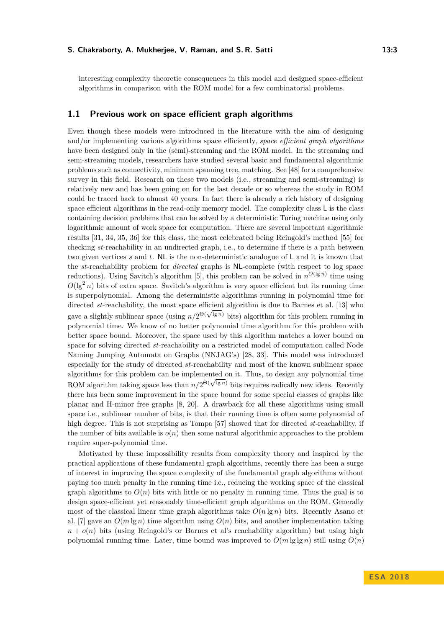interesting complexity theoretic consequences in this model and designed space-efficient algorithms in comparison with the ROM model for a few combinatorial problems.

### **1.1 Previous work on space efficient graph algorithms**

Even though these models were introduced in the literature with the aim of designing and/or implementing various algorithms space efficiently, *space efficient graph algorithms* have been designed only in the (semi)-streaming and the ROM model. In the streaming and semi-streaming models, researchers have studied several basic and fundamental algorithmic problems such as connectivity, minimum spanning tree, matching. See [\[48\]](#page-14-14) for a comprehensive survey in this field. Research on these two models (i.e., streaming and semi-streaming) is relatively new and has been going on for the last decade or so whereas the study in ROM could be traced back to almost 40 years. In fact there is already a rich history of designing space efficient algorithms in the read-only memory model. The complexity class L is the class containing decision problems that can be solved by a deterministic Turing machine using only logarithmic amount of work space for computation. There are several important algorithmic results [\[31,](#page-13-12) [34,](#page-14-15) [35,](#page-14-16) [36\]](#page-14-17) for this class, the most celebrated being Reingold's method [\[55\]](#page-15-2) for checking *st*-reachability in an undirected graph, i.e., to determine if there is a path between two given vertices *s* and *t*. NL is the non-deterministic analogue of L and it is known that the *st*-reachability problem for *directed* graphs is NL-complete (with respect to log space reductions). Using Savitch's algorithm [\[5\]](#page-12-9), this problem can be solved in  $n^{O(\lg n)}$  time using  $O(\lg^2 n)$  bits of extra space. Savitch's algorithm is very space efficient but its running time is superpolynomial. Among the deterministic algorithms running in polynomial time for directed *st*-reachability, the most space efficient algorithm is due to Barnes et al. [\[13\]](#page-12-10) who diffected *st*-reachability, the most space emclent algorithm is due to Barnes et al. [15] who<br>gave a slightly sublinear space (using  $n/2^{\Theta(\sqrt{\lg n})}$  bits) algorithm for this problem running in polynomial time. We know of no better polynomial time algorithm for this problem with better space bound. Moreover, the space used by this algorithm matches a lower bound on space for solving directed *st*-reachability on a restricted model of computation called Node Naming Jumping Automata on Graphs (NNJAG's) [\[28,](#page-13-13) [33\]](#page-14-18). This model was introduced especially for the study of directed *st*-reachability and most of the known sublinear space algorithms for this problem can be implemented on it. Thus, to design any polynomial time algorithms for this problem can be implemented on it. Thus, to design any polynomial time<br>ROM algorithm taking space less than  $n/2^{\Theta(\sqrt{\lg n})}$  bits requires radically new ideas. Recently there has been some improvement in the space bound for some special classes of graphs like planar and H-minor free graphs [\[8,](#page-12-11) [20\]](#page-13-14). A drawback for all these algorithms using small space i.e., sublinear number of bits, is that their running time is often some polynomial of high degree. This is not surprising as Tompa [\[57\]](#page-15-3) showed that for directed *st*-reachability, if the number of bits available is  $o(n)$  then some natural algorithmic approaches to the problem require super-polynomial time.

Motivated by these impossibility results from complexity theory and inspired by the practical applications of these fundamental graph algorithms, recently there has been a surge of interest in improving the space complexity of the fundamental graph algorithms without paying too much penalty in the running time i.e., reducing the working space of the classical graph algorithms to  $O(n)$  bits with little or no penalty in running time. Thus the goal is to design space-efficient yet reasonably time-efficient graph algorithms on the ROM. Generally most of the classical linear time graph algorithms take  $O(n \lg n)$  bits. Recently Asano et al. [\[7\]](#page-12-5) gave an  $O(m \lg n)$  time algorithm using  $O(n)$  bits, and another implementation taking  $n + o(n)$  bits (using Reingold's or Barnes et al's reachability algorithm) but using high polynomial running time. Later, time bound was improved to  $O(m \lg \lg n)$  still using  $O(n)$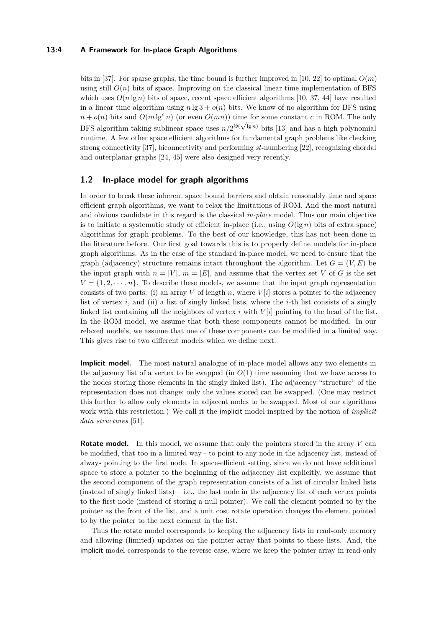### **13:4 A Framework for In-place Graph Algorithms**

bits in [\[37\]](#page-14-4). For sparse graphs, the time bound is further improved in [\[10,](#page-12-6) [22\]](#page-13-5) to optimal  $O(m)$ using still  $O(n)$  bits of space. Improving on the classical linear time implementation of BFS which uses  $O(n \lg n)$  bits of space, recent space efficient algorithms [\[10,](#page-12-6) [37,](#page-14-4) [44\]](#page-14-5) have resulted in a linear time algorithm using  $n \lg 3 + o(n)$  bits. We know of no algorithm for BFS using  $n + o(n)$  bits and  $O(m \lg^c n)$  (or even  $O(mn)$ ) time for some constant *c* in ROM. The only  $n + o(n)$  bits and  $O(m \lg n)$  (or even  $O(mn)$ ) time for some constant c in ROM. The omy<br>BFS algorithm taking sublinear space uses  $n/2^{\Theta(\sqrt{\lg n})}$  bits [\[13\]](#page-12-10) and has a high polynomial runtime. A few other space efficient algorithms for fundamental graph problems like checking strong connectivity [\[37\]](#page-14-4), biconnectivity and performing *st*-numbering [\[22\]](#page-13-5), recognizing chordal and outerplanar graphs [\[24,](#page-13-7) [45\]](#page-14-6) were also designed very recently.

# **1.2 In-place model for graph algorithms**

In order to break these inherent space bound barriers and obtain reasonably time and space efficient graph algorithms, we want to relax the limitations of ROM. And the most natural and obvious candidate in this regard is the classical *in-place* model. Thus our main objective is to initiate a systematic study of efficient in-place (i.e., using  $O(\lg n)$  bits of extra space) algorithms for graph problems. To the best of our knowledge, this has not been done in the literature before. Our first goal towards this is to properly define models for in-place graph algorithms. As in the case of the standard in-place model, we need to ensure that the graph (adjacency) structure remains intact throughout the algorithm. Let  $G = (V, E)$  be the input graph with  $n = |V|$ ,  $m = |E|$ , and assume that the vertex set V of G is the set  $V = \{1, 2, \dots, n\}$ . To describe these models, we assume that the input graph representation consists of two parts: (i) an array *V* of length *n*, where  $V[i]$  stores a pointer to the adjacency list of vertex *i*, and (ii) a list of singly linked lists, where the *i*-th list consists of a singly linked list containing all the neighbors of vertex *i* with *V* [*i*] pointing to the head of the list. In the ROM model, we assume that both these components cannot be modified. In our relaxed models, we assume that one of these components can be modified in a limited way. This gives rise to two different models which we define next.

**Implicit model.** The most natural analogue of in-place model allows any two elements in the adjacency list of a vertex to be swapped (in  $O(1)$ ) time assuming that we have access to the nodes storing those elements in the singly linked list). The adjacency "structure" of the representation does not change; only the values stored can be swapped. (One may restrict this further to allow only elements in adjacent nodes to be swapped. Most of our algorithms work with this restriction.) We call it the implicit model inspired by the notion of *implicit data structures* [\[51\]](#page-14-9).

**Rotate model.** In this model, we assume that only the pointers stored in the array *V* can be modified, that too in a limited way - to point to any node in the adjacency list, instead of always pointing to the first node. In space-efficient setting, since we do not have additional space to store a pointer to the beginning of the adjacency list explicitly, we assume that the second component of the graph representation consists of a list of circular linked lists (instead of singly linked lists) – i.e., the last node in the adjacency list of each vertex points to the first node (instead of storing a null pointer). We call the element pointed to by the pointer as the front of the list, and a unit cost rotate operation changes the element pointed to by the pointer to the next element in the list.

Thus the rotate model corresponds to keeping the adjacency lists in read-only memory and allowing (limited) updates on the pointer array that points to these lists. And, the implicit model corresponds to the reverse case, where we keep the pointer array in read-only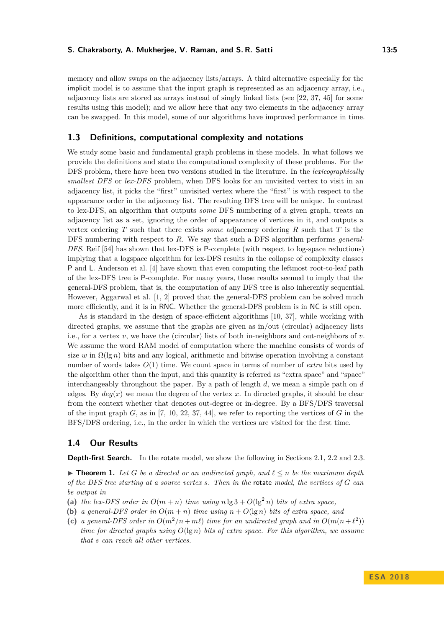#### **S. Chakraborty, A. Mukherjee, V. Raman, and S. R. Satti 13:5** 13:5

memory and allow swaps on the adjacency lists/arrays. A third alternative especially for the implicit model is to assume that the input graph is represented as an adjacency array, i.e., adjacency lists are stored as arrays instead of singly linked lists (see [\[22,](#page-13-5) [37,](#page-14-4) [45\]](#page-14-6) for some results using this model); and we allow here that any two elements in the adjacency array

### **1.3 Definitions, computational complexity and notations**

We study some basic and fundamental graph problems in these models. In what follows we provide the definitions and state the computational complexity of these problems. For the DFS problem, there have been two versions studied in the literature. In the *lexicographically smallest DFS* or *lex-DFS* problem, when DFS looks for an unvisited vertex to visit in an adjacency list, it picks the "first" unvisited vertex where the "first" is with respect to the appearance order in the adjacency list. The resulting DFS tree will be unique. In contrast to lex-DFS, an algorithm that outputs *some* DFS numbering of a given graph, treats an adjacency list as a set, ignoring the order of appearance of vertices in it, and outputs a vertex ordering *T* such that there exists *some* adjacency ordering *R* such that *T* is the DFS numbering with respect to *R*. We say that such a DFS algorithm performs *general-DFS*. Reif [\[54\]](#page-15-4) has shown that lex-DFS is P-complete (with respect to log-space reductions) implying that a logspace algorithm for lex-DFS results in the collapse of complexity classes P and L. Anderson et al. [\[4\]](#page-12-12) have shown that even computing the leftmost root-to-leaf path of the lex-DFS tree is P-complete. For many years, these results seemed to imply that the general-DFS problem, that is, the computation of any DFS tree is also inherently sequential. However, Aggarwal et al. [\[1,](#page-12-13) [2\]](#page-12-14) proved that the general-DFS problem can be solved much more efficiently, and it is in RNC. Whether the general-DFS problem is in NC is still open.

can be swapped. In this model, some of our algorithms have improved performance in time.

As is standard in the design of space-efficient algorithms [\[10,](#page-12-6) [37\]](#page-14-4), while working with directed graphs, we assume that the graphs are given as in/out (circular) adjacency lists i.e., for a vertex *v*, we have the (circular) lists of both in-neighbors and out-neighbors of *v*. We assume the word RAM model of computation where the machine consists of words of size *w* in  $\Omega(\lg n)$  bits and any logical, arithmetic and bitwise operation involving a constant number of words takes *O*(1) time. We count space in terms of number of *extra* bits used by the algorithm other than the input, and this quantity is referred as "extra space" and "space" interchangeably throughout the paper. By a path of length *d*, we mean a simple path on *d* edges. By  $deg(x)$  we mean the degree of the vertex x. In directed graphs, it should be clear from the context whether that denotes out-degree or in-degree. By a BFS/DFS traversal of the input graph  $G$ , as in [\[7,](#page-12-5) [10,](#page-12-6) [22,](#page-13-5) [37,](#page-14-4) [44\]](#page-14-5), we refer to reporting the vertices of  $G$  in the BFS/DFS ordering, i.e., in the order in which the vertices are visited for the first time.

### **1.4 Our Results**

**Depth-first Search.** In the rotate model, we show the following in Sections [2.1,](#page-7-0) [2.2](#page-8-0) and [2.3.](#page-9-0)

<span id="page-4-0"></span>**► Theorem 1.** Let *G* be a directed or an undirected graph, and  $\ell \leq n$  be the maximum depth *of the DFS tree starting at a source vertex s. Then in the* rotate *model, the vertices of G can be output in*

- (a) the lex-DFS order in  $O(m+n)$  time using  $n \lg 3 + O(\lg^2 n)$  bits of extra space,
- **(b)** *a general-DFS order in*  $O(m+n)$  *time using*  $n+O(\lg n)$  *bits of extra space, and*
- (c) a general-DFS order in  $O(m^2/n + m\ell)$  time for an undirected graph and in  $O(m(n + \ell^2))$ *time for directed graphs using*  $O(\lg n)$  *bits of extra space. For this algorithm, we assume that s can reach all other vertices.*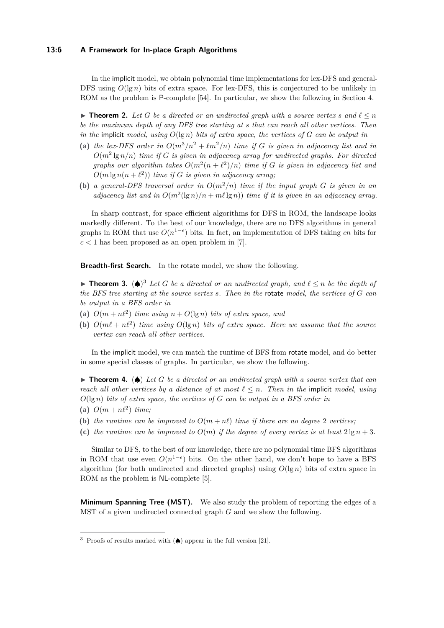#### **13:6 A Framework for In-place Graph Algorithms**

In the implicit model, we obtain polynomial time implementations for lex-DFS and general-DFS using  $O(\lg n)$  bits of extra space. For lex-DFS, this is conjectured to be unlikely in ROM as the problem is P-complete [\[54\]](#page-15-4). In particular, we show the following in Section [4.](#page-10-0)

<span id="page-5-1"></span>▶ **Theorem 2.** Let *G* be a directed or an undirected graph with a source vertex *s* and  $l ≤ n$ *be the maximum depth of any DFS tree starting at s that can reach all other vertices. Then in the* implicit *model, using*  $O(\lg n)$  *bits of extra space, the vertices of*  $G$  *can be output in* 

- (a) the lex-DFS order in  $O(m^3/n^2 + \ell m^2/n)$  time if G is given in adjacency list and in  $O(m^2 \lg n/n)$  *time if G is given in adjacency array for undirected graphs. For directed graphs our algorithm takes*  $O(m^2(n + \ell^2)/n)$  *time if G is given in adjacency list and*  $O(m \lg n(n + \ell^2))$  *time if G is given in adjacency array;*
- **(b)** a general-DFS traversal order in  $O(m^2/n)$  time if the input graph G is given in an *adjacency list and in*  $O(m^2(\lg n)/n + m\ell \lg n)$  *time if it is given in an adjacency array.*

In sharp contrast, for space efficient algorithms for DFS in ROM, the landscape looks markedly different. To the best of our knowledge, there are no DFS algorithms in general graphs in ROM that use  $O(n^{1-\epsilon})$  bits. In fact, an implementation of DFS taking *cn* bits for  $c < 1$  has been proposed as an open problem in [\[7\]](#page-12-5).

**Breadth-first Search.** In the rotate model, we show the following.

**► Theorem [3](#page-5-0).** (▲)<sup>3</sup> *Let G be a directed or an undirected graph, and*  $\ell \leq n$  *be the depth of the BFS tree starting at the source vertex s. Then in the* rotate *model, the vertices of G can be output in a BFS order in*

- (a)  $O(m + n\ell^2)$  *time using*  $n + O(\lg n)$  *bits of extra space, and*
- **(b)**  $O(m\ell + n\ell^2)$  *time using*  $O(\lg n)$  *bits of extra space. Here we assume that the source vertex can reach all other vertices.*

In the implicit model, we can match the runtime of BFS from rotate model, and do better in some special classes of graphs. In particular, we show the following.

I **Theorem 4.** (♠) *Let G be a directed or an undirected graph with a source vertex that can reach all other vertices by a distance of at most*  $\ell \leq n$ . Then in the implicit model, using *O*(lg *n*) *bits of extra space, the vertices of G can be output in a BFS order in*

- (a)  $O(m + n\ell^2)$  *time*;
- **(b)** the runtime can be improved to  $O(m + n\ell)$  time if there are no degree 2 vertices;
- (c) the runtime can be improved to  $O(m)$  if the degree of every vertex is at least  $2 \lg n + 3$ .

Similar to DFS, to the best of our knowledge, there are no polynomial time BFS algorithms in ROM that use even  $O(n^{1-\epsilon})$  bits. On the other hand, we don't hope to have a BFS algorithm (for both undirected and directed graphs) using  $O(\lg n)$  bits of extra space in ROM as the problem is NL-complete [\[5\]](#page-12-9).

**Minimum Spanning Tree (MST).** We also study the problem of reporting the edges of a MST of a given undirected connected graph *G* and we show the following.

<span id="page-5-0"></span><sup>&</sup>lt;sup>3</sup> Proofs of results marked with  $(\spadesuit)$  appear in the full version [\[21\]](#page-13-0).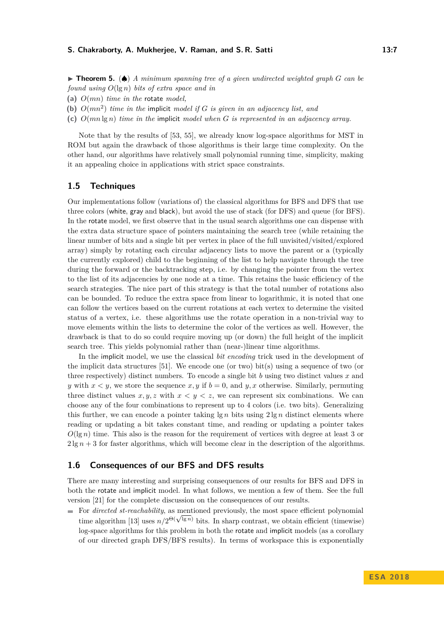#### **S. Chakraborty, A. Mukherjee, V. Raman, and S. R. Satti 13:7** 13:7

- **(a)** *O*(*mn*) *time in the* rotate *model,*
- **(b)** *O*(*mn*<sup>2</sup> ) *time in the* implicit *model if G is given in an adjacency list, and*
- **(c)** *O*(*mn* lg *n*) *time in the* implicit *model when G is represented in an adjacency array.*

Note that by the results of [\[53,](#page-15-5) [55\]](#page-15-2), we already know log-space algorithms for MST in ROM but again the drawback of those algorithms is their large time complexity. On the other hand, our algorithms have relatively small polynomial running time, simplicity, making it an appealing choice in applications with strict space constraints.

### **1.5 Techniques**

Our implementations follow (variations of) the classical algorithms for BFS and DFS that use three colors (white, gray and black), but avoid the use of stack (for DFS) and queue (for BFS). In the rotate model, we first observe that in the usual search algorithms one can dispense with the extra data structure space of pointers maintaining the search tree (while retaining the linear number of bits and a single bit per vertex in place of the full unvisited/visited/explored array) simply by rotating each circular adjacency lists to move the parent or a (typically the currently explored) child to the beginning of the list to help navigate through the tree during the forward or the backtracking step, i.e. by changing the pointer from the vertex to the list of its adjacencies by one node at a time. This retains the basic efficiency of the search strategies. The nice part of this strategy is that the total number of rotations also can be bounded. To reduce the extra space from linear to logarithmic, it is noted that one can follow the vertices based on the current rotations at each vertex to determine the visited status of a vertex, i.e. these algorithms use the rotate operation in a non-trivial way to move elements within the lists to determine the color of the vertices as well. However, the drawback is that to do so could require moving up (or down) the full height of the implicit search tree. This yields polynomial rather than (near-)linear time algorithms.

In the implicit model, we use the classical *bit encoding* trick used in the development of the implicit data structures  $[51]$ . We encode one (or two) bit(s) using a sequence of two (or three respectively) distinct numbers. To encode a single bit *b* using two distinct values *x* and *y* with  $x < y$ , we store the sequence *x*, *y* if  $b = 0$ , and *y*, *x* otherwise. Similarly, permuting three distinct values  $x, y, z$  with  $x < y < z$ , we can represent six combinations. We can choose any of the four combinations to represent up to 4 colors (i.e. two bits). Generalizing this further, we can encode a pointer taking  $\lg n$  bits using  $2 \lg n$  distinct elements where reading or updating a bit takes constant time, and reading or updating a pointer takes  $O(\lg n)$  time. This also is the reason for the requirement of vertices with degree at least 3 or  $2 \lg n + 3$  for faster algorithms, which will become clear in the description of the algorithms.

### **1.6 Consequences of our BFS and DFS results**

There are many interesting and surprising consequences of our results for BFS and DFS in both the rotate and implicit model. In what follows, we mention a few of them. See the full version [\[21\]](#page-13-0) for the complete discussion on the consequences of our results.

For *directed st-reachability*, as mentioned previously, the most space efficient polynomial For *airectea st-reachability*, as mentioned previously, the most space emclent polynomial<br>time algorithm [\[13\]](#page-12-10) uses  $n/2^{\Theta(\sqrt{\lg n})}$  bits. In sharp contrast, we obtain efficient (timewise) log-space algorithms for this problem in both the rotate and implicit models (as a corollary of our directed graph DFS/BFS results). In terms of workspace this is exponentially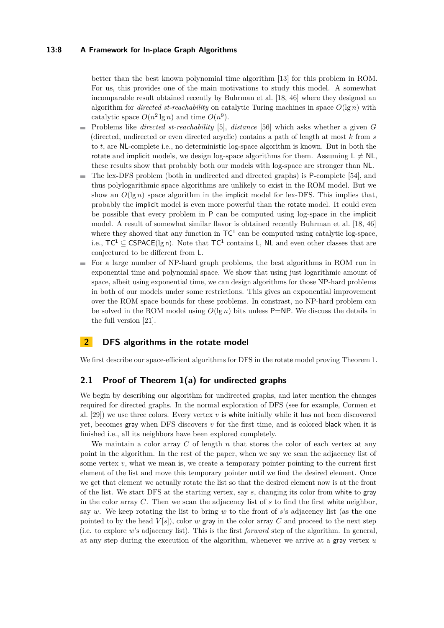### **13:8 A Framework for In-place Graph Algorithms**

better than the best known polynomial time algorithm [\[13\]](#page-12-10) for this problem in ROM. For us, this provides one of the main motivations to study this model. A somewhat incomparable result obtained recently by Buhrman et al. [\[18,](#page-13-10) [46\]](#page-14-13) where they designed an algorithm for *directed st-reachability* on catalytic Turing machines in space *O*(lg *n*) with catalytic space  $O(n^2 \lg n)$  and time  $O(n^9)$ .

- Problems like *directed st-reachability* [\[5\]](#page-12-9), *distance* [\[56\]](#page-15-6) which asks whether a given *G* (directed, undirected or even directed acyclic) contains a path of length at most *k* from *s* to *t*, are NL-complete i.e., no deterministic log-space algorithm is known. But in both the rotate and implicit models, we design log-space algorithms for them. Assuming  $L \neq NL$ , these results show that probably both our models with log-space are stronger than NL.
- The lex-DFS problem (both in undirected and directed graphs) is P-complete [\[54\]](#page-15-4), and  $\blacksquare$ thus polylogarithmic space algorithms are unlikely to exist in the ROM model. But we show an  $O(\lg n)$  space algorithm in the implicit model for lex-DFS. This implies that, probably the implicit model is even more powerful than the rotate model. It could even be possible that every problem in P can be computed using log-space in the implicit model. A result of somewhat similar flavor is obtained recently Buhrman et al. [\[18,](#page-13-10) [46\]](#page-14-13) where they showed that any function in  $TC^1$  can be computed using catalytic log-space, i.e.,  $TC^1 \subseteq \text{CSPACE}(\lg n)$ . Note that  $TC^1$  contains L, NL and even other classes that are conjectured to be different from L.
- For a large number of NP-hard graph problems, the best algorithms in ROM run in m. exponential time and polynomial space. We show that using just logarithmic amount of space, albeit using exponential time, we can design algorithms for those NP-hard problems in both of our models under some restrictions. This gives an exponential improvement over the ROM space bounds for these problems. In constrast, no NP-hard problem can be solved in the ROM model using  $O(\lg n)$  bits unless P=NP. We discuss the details in the full version [\[21\]](#page-13-0).

# **2 DFS algorithms in the rotate model**

We first describe our space-efficient algorithms for DFS in the rotate model proving Theorem [1.](#page-4-0)

### <span id="page-7-0"></span>**2.1 Proof of Theorem [1\(](#page-4-0)a) for undirected graphs**

We begin by describing our algorithm for undirected graphs, and later mention the changes required for directed graphs. In the normal exploration of DFS (see for example, Cormen et al.  $[29]$ ) we use three colors. Every vertex *v* is white initially while it has not been discovered yet, becomes gray when DFS discovers *v* for the first time, and is colored black when it is finished i.e., all its neighbors have been explored completely.

We maintain a color array *C* of length *n* that stores the color of each vertex at any point in the algorithm. In the rest of the paper, when we say we scan the adjacency list of some vertex  $v$ , what we mean is, we create a temporary pointer pointing to the current first element of the list and move this temporary pointer until we find the desired element. Once we get that element we actually rotate the list so that the desired element now is at the front of the list. We start DFS at the starting vertex, say *s*, changing its color from white to gray in the color array *C*. Then we scan the adjacency list of *s* to find the first white neighbor, say *w*. We keep rotating the list to bring *w* to the front of *s*'s adjacency list (as the one pointed to by the head  $V[s]$ , color *w* gray in the color array *C* and proceed to the next step (i.e. to explore *w*'s adjacency list). This is the first *forward* step of the algorithm. In general, at any step during the execution of the algorithm, whenever we arrive at a gray vertex *u*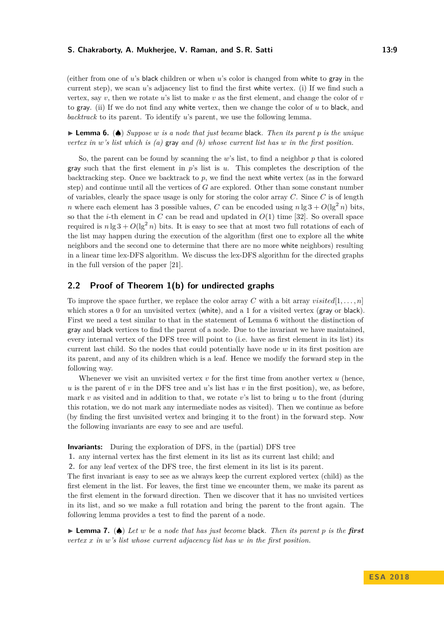#### **S. Chakraborty, A. Mukherjee, V. Raman, and S. R. Satti 13:9** 13:9

(either from one of *u*'s black children or when *u*'s color is changed from white to gray in the current step), we scan *u*'s adjacency list to find the first white vertex. (i) If we find such a vertex, say  $v$ , then we rotate  $u$ 's list to make  $v$  as the first element, and change the color of  $v$ to gray. (ii) If we do not find any white vertex, then we change the color of *u* to black, and *backtrack* to its parent. To identify *u*'s parent, we use the following lemma.

<span id="page-8-1"></span>I **Lemma 6.** (♠) *Suppose w is a node that just became* black*. Then its parent p is the unique vertex in w's list which is (a)* gray *and (b) whose current list has w in the first position.*

So, the parent can be found by scanning the *w*'s list, to find a neighbor *p* that is colored gray such that the first element in *p*'s list is *u*. This completes the description of the backtracking step. Once we backtrack to *p*, we find the next white vertex (as in the forward step) and continue until all the vertices of *G* are explored. Other than some constant number of variables, clearly the space usage is only for storing the color array *C*. Since *C* is of length *n* where each element has 3 possible values, *C* can be encoded using  $n \lg 3 + O(\lg^2 n)$  bits. so that the *i*-th element in *C* can be read and updated in  $O(1)$  time [\[32\]](#page-13-16). So overall space required is  $n \lg 3 + O(\lg^2 n)$  bits. It is easy to see that at most two full rotations of each of the list may happen during the execution of the algorithm (first one to explore all the white neighbors and the second one to determine that there are no more white neighbors) resulting in a linear time lex-DFS algorithm. We discuss the lex-DFS algorithm for the directed graphs in the full version of the paper [\[21\]](#page-13-0).

# <span id="page-8-0"></span>**2.2 Proof of Theorem [1\(](#page-4-0)b) for undirected graphs**

To improve the space further, we replace the color array *C* with a bit array *visited*[1,...,n] which stores a 0 for an unvisited vertex (white), and a 1 for a visited vertex (gray or black). First we need a test similar to that in the statement of Lemma [6](#page-8-1) without the distinction of gray and black vertices to find the parent of a node. Due to the invariant we have maintained, every internal vertex of the DFS tree will point to (i.e. have as first element in its list) its current last child. So the nodes that could potentially have node *w* in its first position are its parent, and any of its children which is a leaf. Hence we modify the forward step in the following way.

Whenever we visit an unvisited vertex *v* for the first time from another vertex *u* (hence, *u* is the parent of *v* in the DFS tree and *u*'s list has *v* in the first position), we, as before, mark *v* as visited and in addition to that, we rotate *v*'s list to bring *u* to the front (during this rotation, we do not mark any intermediate nodes as visited). Then we continue as before (by finding the first unvisited vertex and bringing it to the front) in the forward step. Now the following invariants are easy to see and are useful.

**Invariants:** During the exploration of DFS, in the (partial) DFS tree

**1.** any internal vertex has the first element in its list as its current last child; and

**2.** for any leaf vertex of the DFS tree, the first element in its list is its parent.

The first invariant is easy to see as we always keep the current explored vertex (child) as the first element in the list. For leaves, the first time we encounter them, we make its parent as the first element in the forward direction. Then we discover that it has no unvisited vertices in its list, and so we make a full rotation and bring the parent to the front again. The following lemma provides a test to find the parent of a node.

I **Lemma 7.** (♠) *Let w be a node that has just become* black*. Then its parent p is the first vertex x in w's list whose current adjacency list has w in the first position.*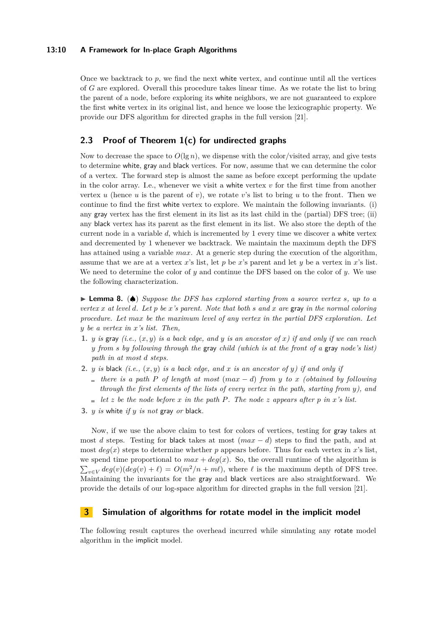### **13:10 A Framework for In-place Graph Algorithms**

Once we backtrack to  $p$ , we find the next white vertex, and continue until all the vertices of *G* are explored. Overall this procedure takes linear time. As we rotate the list to bring the parent of a node, before exploring its white neighbors, we are not guaranteed to explore the first white vertex in its original list, and hence we loose the lexicographic property. We provide our DFS algorithm for directed graphs in the full version [\[21\]](#page-13-0).

# <span id="page-9-0"></span>**2.3 Proof of Theorem [1\(](#page-4-0)c) for undirected graphs**

Now to decrease the space to  $O(\lg n)$ , we dispense with the color/visited array, and give tests to determine white, gray and black vertices. For now, assume that we can determine the color of a vertex. The forward step is almost the same as before except performing the update in the color array. I.e., whenever we visit a white vertex  $v$  for the first time from another vertex  $u$  (hence  $u$  is the parent of  $v$ ), we rotate  $v$ 's list to bring  $u$  to the front. Then we continue to find the first white vertex to explore. We maintain the following invariants. (i) any gray vertex has the first element in its list as its last child in the (partial) DFS tree; (ii) any black vertex has its parent as the first element in its list. We also store the depth of the current node in a variable *d*, which is incremented by 1 every time we discover a white vertex and decremented by 1 whenever we backtrack. We maintain the maximum depth the DFS has attained using a variable *max*. At a generic step during the execution of the algorithm, assume that we are at a vertex *x*'s list, let *p* be *x*'s parent and let *y* be a vertex in *x*'s list. We need to determine the color of *y* and continue the DFS based on the color of *y*. We use the following characterization.

I **Lemma 8.** (♠) *Suppose the DFS has explored starting from a source vertex s, up to a vertex x at level d. Let p be x's parent. Note that both s and x are* gray *in the normal coloring procedure. Let max be the maximum level of any vertex in the partial DFS exploration. Let y be a vertex in x's list. Then,*

- **1.** *y is* gray (*i.e.*,  $(x, y)$  *is a back edge, and y is an ancestor of x*) *if and only if we can reach y from s by following through the* gray *child (which is at the front of a* gray *node's list) path in at most d steps.*
- **2.** *y is* black *(i.e.,* (*x, y*) *is a back edge, and x is an ancestor of y) if and only if*
	- $\mathbf{f}$  *there is a path P* of length at most (*max*  $-$  *d*) from *y* to *x* (obtained by following *through the first elements of the lists of every vertex in the path, starting from y), and*
	- $\blacksquare$  *let z be the node before x in the path P. The node z appears after p in x*<sup>*'s*</sup> *list.*
- **3.** *y is* white *if y is not* gray *or* black*.*

Now, if we use the above claim to test for colors of vertices, testing for gray takes at most *d* steps. Testing for black takes at most (*max* − *d*) steps to find the path, and at most  $deq(x)$  steps to determine whether *p* appears before. Thus for each vertex in *x*'s list, we spend time proportional to  $max + deg(x)$ . So, the overall runtime of the algorithm is  $\sum_{v \in V} deg(v)(deg(v) + \ell) = O(m^2/n + m\ell)$ , where  $\ell$  is the maximum depth of DFS tree. Maintaining the invariants for the gray and black vertices are also straightforward. We provide the details of our log-space algorithm for directed graphs in the full version [\[21\]](#page-13-0).

# <span id="page-9-1"></span>**3 Simulation of algorithms for rotate model in the implicit model**

The following result captures the overhead incurred while simulating any rotate model algorithm in the implicit model.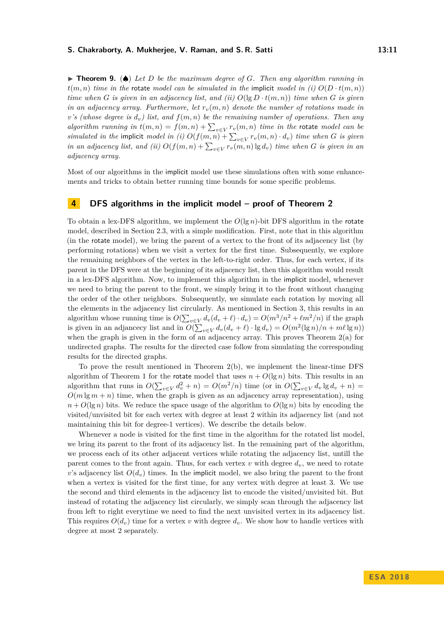#### **S. Chakraborty, A. Mukherjee, V. Raman, and S. R. Satti 13:11**

I **Theorem 9.** (♠) *Let D be the maximum degree of G. Then any algorithm running in*  $t(m, n)$  *time in the* rotate *model can be simulated in the* implicit *model in (i)*  $O(D \cdot t(m, n))$ *time when G is given in an adjacency list, and (ii)*  $O(\lg D \cdot t(m, n))$  *time when G is given in an adjacency array. Furthermore, let*  $r_v(m, n)$  *denote the number of rotations made in v*'s (whose degree is  $d_v$ ) list, and  $f(m, n)$  be the remaining number of operations. Then any *algorithm running in*  $t(m,n) = f(m,n) + \sum_{v \in V} r_v(m,n)$  *time in the* rotate *model can be simulated in the implicit model in (i)*  $O(f(m, n) + \sum_{v \in V} r_v(m, n) \cdot d_v)$  *time when G is given in an adjacency list, and (ii)*  $O(f(m, n) + \sum_{v \in V} r_v(m, n) \lg d_v)$  *time when G is given in an adjacency array.*

Most of our algorithms in the implicit model use these simulations often with some enhancements and tricks to obtain better running time bounds for some specific problems.

# <span id="page-10-0"></span>**4 DFS algorithms in the implicit model – proof of Theorem [2](#page-5-1)**

To obtain a lex-DFS algorithm, we implement the *O*(lg *n*)-bit DFS algorithm in the rotate model, described in Section [2.3,](#page-9-0) with a simple modification. First, note that in this algorithm (in the rotate model), we bring the parent of a vertex to the front of its adjacency list (by performing rotations) when we visit a vertex for the first time. Subsequently, we explore the remaining neighbors of the vertex in the left-to-right order. Thus, for each vertex, if its parent in the DFS were at the beginning of its adjacency list, then this algorithm would result in a lex-DFS algorithm. Now, to implement this algorithm in the implicit model, whenever we need to bring the parent to the front, we simply bring it to the front without changing the order of the other neighbors. Subsequently, we simulate each rotation by moving all the elements in the adjacency list circularly. As mentioned in Section [3,](#page-9-1) this results in an algorithm whose running time is  $O(\sum_{v \in V} d_v(d_v + \ell) \cdot d_v) = O(m^3/n^2 + \ell m^2/n)$  if the graph is given in an adjancecy list and in  $O(\sum_{v \in V} d_v(d_v + \ell) \cdot \lg d_v) = O(m^2(\lg n)/n + m\ell \lg n)$ when the graph is given in the form of an adjacency array. This proves Theorem [2\(](#page-5-1)a) for undirected graphs. The results for the directed case follow from simulating the corresponding results for the directed graphs.

To prove the result mentioned in Theorem [2\(](#page-5-1)b), we implement the linear-time DFS algorithm of Theorem [1](#page-4-0) for the rotate model that uses  $n + O(\lg n)$  bits. This results in an algorithm that runs in  $O(\sum_{v \in V} d_v^2 + n) = O(m^2/n)$  time (or in  $O(\sum_{v \in V} d_v \lg d_v + n)$ )  $O(m \lg m + n)$  time, when the graph is given as an adjacency array representation), using  $n + O(\lg n)$  bits. We reduce the space usage of the algorithm to  $O(\lg n)$  bits by encoding the visited/unvisited bit for each vertex with degree at least 2 within its adjacency list (and not maintaining this bit for degree-1 vertices). We describe the details below.

Whenever a node is visited for the first time in the algorithm for the rotated list model, we bring its parent to the front of its adjacency list. In the remaining part of the algorithm, we process each of its other adjacent vertices while rotating the adjacency list, untill the parent comes to the front again. Thus, for each vertex  $v$  with degree  $d_v$ , we need to rotate *v*'s adjacency list  $O(d_v)$  times. In the implicit model, we also bring the parent to the front when a vertex is visited for the first time, for any vertex with degree at least 3. We use the second and third elements in the adjacency list to encode the visited/unvisited bit. But instead of rotating the adjacency list circularly, we simply scan through the adjacency list from left to right everytime we need to find the next unvisited vertex in its adjacency list. This requires  $O(d_v)$  time for a vertex *v* with degree  $d_v$ . We show how to handle vertices with degree at most 2 separately.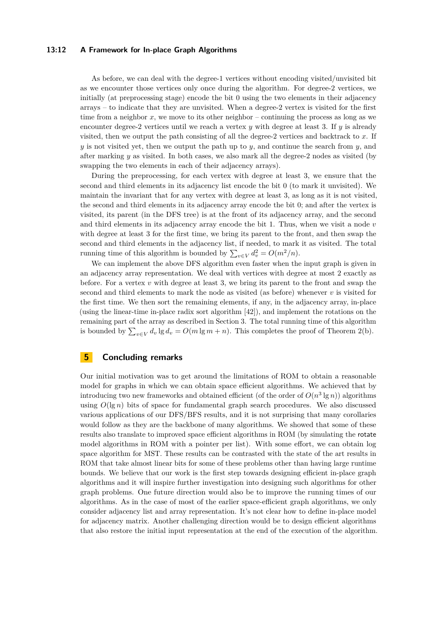### **13:12 A Framework for In-place Graph Algorithms**

As before, we can deal with the degree-1 vertices without encoding visited/unvisited bit as we encounter those vertices only once during the algorithm. For degree-2 vertices, we initially (at preprocessing stage) encode the bit 0 using the two elements in their adjacency arrays – to indicate that they are unvisited. When a degree-2 vertex is visited for the first time from a neighbor  $x$ , we move to its other neighbor – continuing the process as long as we encounter degree-2 vertices until we reach a vertex  $y$  with degree at least 3. If  $y$  is already visited, then we output the path consisting of all the degree-2 vertices and backtrack to *x*. If *y* is not visited yet, then we output the path up to *y*, and continue the search from *y*, and after marking *y* as visited. In both cases, we also mark all the degree-2 nodes as visited (by swapping the two elements in each of their adjacency arrays).

During the preprocessing, for each vertex with degree at least 3, we ensure that the second and third elements in its adjacency list encode the bit 0 (to mark it unvisited). We maintain the invariant that for any vertex with degree at least 3, as long as it is not visited, the second and third elements in its adjacency array encode the bit 0; and after the vertex is visited, its parent (in the DFS tree) is at the front of its adjacency array, and the second and third elements in its adjacency array encode the bit 1. Thus, when we visit a node *v* with degree at least 3 for the first time, we bring its parent to the front, and then swap the second and third elements in the adjacency list, if needed, to mark it as visited. The total running time of this algorithm is bounded by  $\sum_{v \in V} d_v^2 = O(m^2/n)$ .

We can implement the above DFS algorithm even faster when the input graph is given in an adjacency array representation. We deal with vertices with degree at most 2 exactly as before. For a vertex  $v$  with degree at least 3, we bring its parent to the front and swap the second and third elements to mark the node as visited (as before) whenever *v* is visited for the first time. We then sort the remaining elements, if any, in the adjacency array, in-place (using the linear-time in-place radix sort algorithm [\[42\]](#page-14-7)), and implement the rotations on the remaining part of the array as described in Section [3.](#page-9-1) The total running time of this algorithm is bounded by  $\sum_{v \in V} d_v \lg d_v = O(m \lg m + n)$ . This completes the proof of Theorem [2\(](#page-5-1)b).

# **5 Concluding remarks**

Our initial motivation was to get around the limitations of ROM to obtain a reasonable model for graphs in which we can obtain space efficient algorithms. We achieved that by introducing two new frameworks and obtained efficient (of the order of  $O(n^3 \lg n)$ ) algorithms using  $O(\lg n)$  bits of space for fundamental graph search procedures. We also discussed various applications of our DFS/BFS results, and it is not surprising that many corollaries would follow as they are the backbone of many algorithms. We showed that some of these results also translate to improved space efficient algorithms in ROM (by simulating the rotate model algorithms in ROM with a pointer per list). With some effort, we can obtain log space algorithm for MST. These results can be contrasted with the state of the art results in ROM that take almost linear bits for some of these problems other than having large runtime bounds. We believe that our work is the first step towards designing efficient in-place graph algorithms and it will inspire further investigation into designing such algorithms for other graph problems. One future direction would also be to improve the running times of our algorithms. As in the case of most of the earlier space-efficient graph algorithms, we only consider adjacency list and array representation. It's not clear how to define in-place model for adjacency matrix. Another challenging direction would be to design efficient algorithms that also restore the initial input representation at the end of the execution of the algorithm.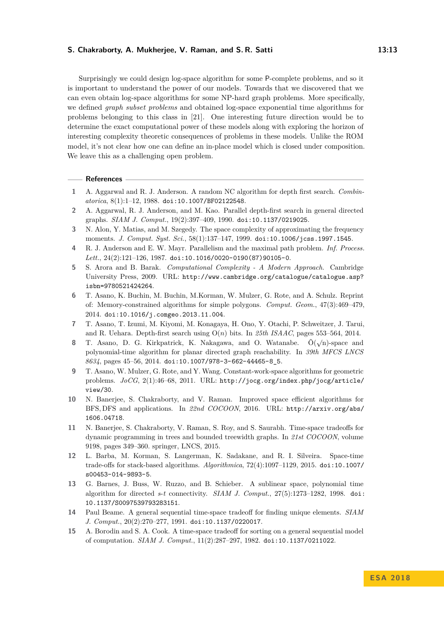#### **S. Chakraborty, A. Mukherjee, V. Raman, and S. R. Satti 13:13**

Surprisingly we could design log-space algorithm for some P-complete problems, and so it is important to understand the power of our models. Towards that we discovered that we can even obtain log-space algorithms for some NP-hard graph problems. More specifically, we defined *graph subset problems* and obtained log-space exponential time algorithms for problems belonging to this class in [\[21\]](#page-13-0). One interesting future direction would be to determine the exact computational power of these models along with exploring the horizon of interesting complexity theoretic consequences of problems in these models. Unlike the ROM model, it's not clear how one can define an in-place model which is closed under composition. We leave this as a challenging open problem.

#### **References**

- <span id="page-12-13"></span>**1** A. Aggarwal and R. J. Anderson. A random NC algorithm for depth first search. *Combinatorica*, 8(1):1–12, 1988. [doi:10.1007/BF02122548](http://dx.doi.org/10.1007/BF02122548).
- <span id="page-12-14"></span>**2** A. Aggarwal, R. J. Anderson, and M. Kao. Parallel depth-first search in general directed graphs. *SIAM J. Comput.*, 19(2):397–409, 1990. [doi:10.1137/0219025](http://dx.doi.org/10.1137/0219025).
- <span id="page-12-8"></span>**3** N. Alon, Y. Matias, and M. Szegedy. The space complexity of approximating the frequency moments. *J. Comput. Syst. Sci.*, 58(1):137–147, 1999. [doi:10.1006/jcss.1997.1545](http://dx.doi.org/10.1006/jcss.1997.1545).
- <span id="page-12-12"></span>**4** R. J. Anderson and E. W. Mayr. Parallelism and the maximal path problem. *Inf. Process. Lett.*, 24(2):121–126, 1987. [doi:10.1016/0020-0190\(87\)90105-0](http://dx.doi.org/10.1016/0020-0190(87)90105-0).
- <span id="page-12-9"></span>**5** S. Arora and B. Barak. *Computational Complexity - A Modern Approach*. Cambridge University Press, 2009. URL: [http://www.cambridge.org/catalogue/catalogue.asp?](http://www.cambridge.org/catalogue/catalogue.asp?isbn=9780521424264) [isbn=9780521424264](http://www.cambridge.org/catalogue/catalogue.asp?isbn=9780521424264).
- <span id="page-12-2"></span>**6** T. Asano, K. Buchin, M. Buchin, M.Korman, W. Mulzer, G. Rote, and A. Schulz. Reprint of: Memory-constrained algorithms for simple polygons. *Comput. Geom.*, 47(3):469–479, 2014. [doi:10.1016/j.comgeo.2013.11.004](http://dx.doi.org/10.1016/j.comgeo.2013.11.004).
- <span id="page-12-5"></span>**7** T. Asano, T. Izumi, M. Kiyomi, M. Konagaya, H. Ono, Y. Otachi, P. Schweitzer, J. Tarui, and R. Uehara. Depth-first search using O(*n*) bits. In *25th ISAAC*, pages 553–564, 2014.
- <span id="page-12-11"></span>**8** T. Asano, D. G. Kirkpatrick, K. Nakagawa, and O. Watanabe.  $\tilde{O}(\sqrt{n})$ -space and polynomial-time algorithm for planar directed graph reachability. In *39th MFCS LNCS 8634*, pages 45–56, 2014. [doi:10.1007/978-3-662-44465-8\\_5](http://dx.doi.org/10.1007/978-3-662-44465-8_5).
- <span id="page-12-3"></span>**9** T. Asano, W. Mulzer, G. Rote, and Y. Wang. Constant-work-space algorithms for geometric problems. *JoCG*, 2(1):46–68, 2011. URL: [http://jocg.org/index.php/jocg/article/](http://jocg.org/index.php/jocg/article/view/30) [view/30](http://jocg.org/index.php/jocg/article/view/30).
- <span id="page-12-6"></span>**10** N. Banerjee, S. Chakraborty, and V. Raman. Improved space efficient algorithms for BFS*,* DFS and applications. In *22nd COCOON*, 2016. URL: [http://arxiv.org/abs/](http://arxiv.org/abs/1606.04718) [1606.04718](http://arxiv.org/abs/1606.04718).
- <span id="page-12-7"></span>**11** N. Banerjee, S. Chakraborty, V. Raman, S. Roy, and S. Saurabh. Time-space tradeoffs for dynamic programming in trees and bounded treewidth graphs. In *21st COCOON*, volume 9198, pages 349–360. springer, LNCS, 2015.
- <span id="page-12-4"></span>**12** L. Barba, M. Korman, S. Langerman, K. Sadakane, and R. I. Silveira. Space-time trade-offs for stack-based algorithms. *Algorithmica*, 72(4):1097–1129, 2015. [doi:10.1007/](http://dx.doi.org/10.1007/s00453-014-9893-5) [s00453-014-9893-5](http://dx.doi.org/10.1007/s00453-014-9893-5).
- <span id="page-12-10"></span>**13** G. Barnes, J. Buss, W. Ruzzo, and B. Schieber. A sublinear space, polynomial time algorithm for directed *s*-*t* connectivity. *SIAM J. Comput.*, 27(5):1273–1282, 1998. [doi:](http://dx.doi.org/10.1137/S0097539793283151) [10.1137/S0097539793283151](http://dx.doi.org/10.1137/S0097539793283151).
- <span id="page-12-0"></span>**14** Paul Beame. A general sequential time-space tradeoff for finding unique elements. *SIAM J. Comput.*, 20(2):270–277, 1991. [doi:10.1137/0220017](http://dx.doi.org/10.1137/0220017).
- <span id="page-12-1"></span>**15** A. Borodin and S. A. Cook. A time-space tradeoff for sorting on a general sequential model of computation. *SIAM J. Comput.*, 11(2):287–297, 1982. [doi:10.1137/0211022](http://dx.doi.org/10.1137/0211022).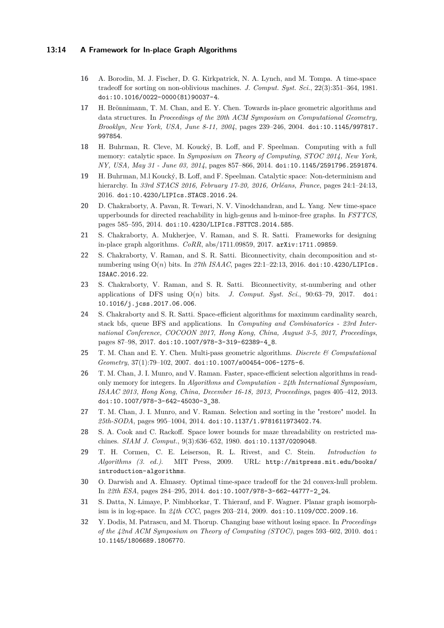### **13:14 A Framework for In-place Graph Algorithms**

- <span id="page-13-1"></span>**16** A. Borodin, M. J. Fischer, D. G. Kirkpatrick, N. A. Lynch, and M. Tompa. A time-space tradeoff for sorting on non-oblivious machines. *J. Comput. Syst. Sci.*, 22(3):351–364, 1981. [doi:10.1016/0022-0000\(81\)90037-4](http://dx.doi.org/10.1016/0022-0000(81)90037-4).
- <span id="page-13-8"></span>**17** H. Brönnimann, T. M. Chan, and E. Y. Chen. Towards in-place geometric algorithms and data structures. In *Proceedings of the 20th ACM Symposium on Computational Geometry, Brooklyn, New York, USA, June 8-11, 2004*, pages 239–246, 2004. [doi:10.1145/997817.](http://dx.doi.org/10.1145/997817.997854) [997854](http://dx.doi.org/10.1145/997817.997854).
- <span id="page-13-10"></span>**18** H. Buhrman, R. Cleve, M. Koucký, B. Loff, and F. Speelman. Computing with a full memory: catalytic space. In *Symposium on Theory of Computing, STOC 2014, New York, NY, USA, May 31 - June 03, 2014*, pages 857–866, 2014. [doi:10.1145/2591796.2591874](http://dx.doi.org/10.1145/2591796.2591874).
- <span id="page-13-11"></span>**19** H. Buhrman, M.l Koucký, B. Loff, and F. Speelman. Catalytic space: Non-determinism and hierarchy. In *33rd STACS 2016, February 17-20, 2016, Orléans, France*, pages 24:1–24:13, 2016. [doi:10.4230/LIPIcs.STACS.2016.24](http://dx.doi.org/10.4230/LIPIcs.STACS.2016.24).
- <span id="page-13-14"></span>**20** D. Chakraborty, A. Pavan, R. Tewari, N. V. Vinodchandran, and L. Yang. New time-space upperbounds for directed reachability in high-genus and h-minor-free graphs. In *FSTTCS*, pages 585–595, 2014. [doi:10.4230/LIPIcs.FSTTCS.2014.585](http://dx.doi.org/10.4230/LIPIcs.FSTTCS.2014.585).
- <span id="page-13-0"></span>**21** S. Chakraborty, A. Mukherjee, V. Raman, and S. R. Satti. Frameworks for designing in-place graph algorithms. *CoRR*, abs/1711.09859, 2017. [arXiv:1711.09859](http://arxiv.org/abs/1711.09859).
- <span id="page-13-5"></span>**22** S. Chakraborty, V. Raman, and S. R. Satti. Biconnectivity, chain decomposition and stnumbering using O(*n*) bits. In *27th ISAAC*, pages 22:1–22:13, 2016. [doi:10.4230/LIPIcs.](http://dx.doi.org/10.4230/LIPIcs.ISAAC.2016.22) [ISAAC.2016.22](http://dx.doi.org/10.4230/LIPIcs.ISAAC.2016.22).
- <span id="page-13-6"></span>**23** S. Chakraborty, V. Raman, and S. R. Satti. Biconnectivity, st-numbering and other applications of DFS using  $O(n)$  bits. *J. Comput. Syst. Sci.*, 90:63–79, 2017. [doi:](http://dx.doi.org/10.1016/j.jcss.2017.06.006) [10.1016/j.jcss.2017.06.006](http://dx.doi.org/10.1016/j.jcss.2017.06.006).
- <span id="page-13-7"></span>**24** S. Chakraborty and S. R. Satti. Space-efficient algorithms for maximum cardinality search, stack bfs, queue BFS and applications. In *Computing and Combinatorics - 23rd International Conference, COCOON 2017, Hong Kong, China, August 3-5, 2017, Proceedings*, pages 87–98, 2017. [doi:10.1007/978-3-319-62389-4\\_8](http://dx.doi.org/10.1007/978-3-319-62389-4_8).
- <span id="page-13-3"></span>**25** T. M. Chan and E. Y. Chen. Multi-pass geometric algorithms. *Discrete & Computational Geometry*, 37(1):79–102, 2007. [doi:10.1007/s00454-006-1275-6](http://dx.doi.org/10.1007/s00454-006-1275-6).
- <span id="page-13-2"></span>**26** T. M. Chan, J. I. Munro, and V. Raman. Faster, space-efficient selection algorithms in readonly memory for integers. In *Algorithms and Computation - 24th International Symposium, ISAAC 2013, Hong Kong, China, December 16-18, 2013, Proceedings*, pages 405–412, 2013. [doi:10.1007/978-3-642-45030-3\\_38](http://dx.doi.org/10.1007/978-3-642-45030-3_38).
- <span id="page-13-9"></span>**27** T. M. Chan, J. I. Munro, and V. Raman. Selection and sorting in the "restore" model. In *25th-SODA*, pages 995–1004, 2014. [doi:10.1137/1.9781611973402.74](http://dx.doi.org/10.1137/1.9781611973402.74).
- <span id="page-13-13"></span>**28** S. A. Cook and C. Rackoff. Space lower bounds for maze threadability on restricted machines. *SIAM J. Comput.*, 9(3):636–652, 1980. [doi:10.1137/0209048](http://dx.doi.org/10.1137/0209048).
- <span id="page-13-15"></span>**29** T. H. Cormen, C. E. Leiserson, R. L. Rivest, and C. Stein. *Introduction to Algorithms (3. ed.)*. MIT Press, 2009. URL: [http://mitpress.mit.edu/books/](http://mitpress.mit.edu/books/introduction-algorithms) [introduction-algorithms](http://mitpress.mit.edu/books/introduction-algorithms).
- <span id="page-13-4"></span>**30** O. Darwish and A. Elmasry. Optimal time-space tradeoff for the 2d convex-hull problem. In *22th ESA*, pages 284–295, 2014. [doi:10.1007/978-3-662-44777-2\\_24](http://dx.doi.org/10.1007/978-3-662-44777-2_24).
- <span id="page-13-12"></span>**31** S. Datta, N. Limaye, P. Nimbhorkar, T. Thierauf, and F. Wagner. Planar graph isomorphism is in log-space. In *24th CCC*, pages 203–214, 2009. [doi:10.1109/CCC.2009.16](http://dx.doi.org/10.1109/CCC.2009.16).
- <span id="page-13-16"></span>**32** Y. Dodis, M. Patrascu, and M. Thorup. Changing base without losing space. In *Proceedings of the 42nd ACM Symposium on Theory of Computing (STOC)*, pages 593–602, 2010. [doi:](http://dx.doi.org/10.1145/1806689.1806770) [10.1145/1806689.1806770](http://dx.doi.org/10.1145/1806689.1806770).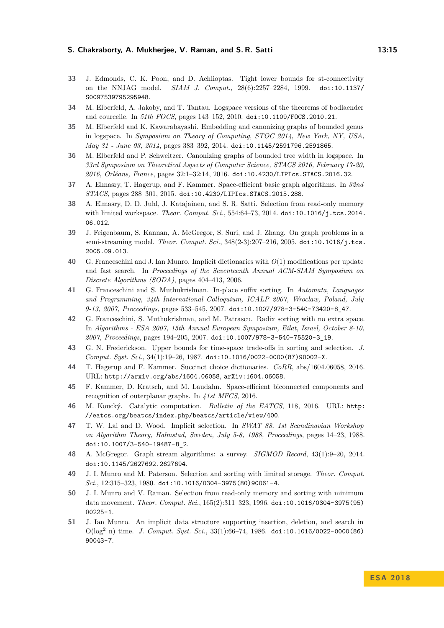#### **S. Chakraborty, A. Mukherjee, V. Raman, and S. R. Satti 13:15**

- <span id="page-14-18"></span>**33** J. Edmonds, C. K. Poon, and D. Achlioptas. Tight lower bounds for st-connectivity on the NNJAG model. *SIAM J. Comput.*, 28(6):2257–2284, 1999. [doi:10.1137/](http://dx.doi.org/10.1137/S0097539795295948) [S0097539795295948](http://dx.doi.org/10.1137/S0097539795295948).
- <span id="page-14-15"></span>**34** M. Elberfeld, A. Jakoby, and T. Tantau. Logspace versions of the theorems of bodlaender and courcelle. In *51th FOCS*, pages 143–152, 2010. [doi:10.1109/FOCS.2010.21](http://dx.doi.org/10.1109/FOCS.2010.21).
- <span id="page-14-16"></span>**35** M. Elberfeld and K. Kawarabayashi. Embedding and canonizing graphs of bounded genus in logspace. In *Symposium on Theory of Computing, STOC 2014, New York, NY, USA, May 31 - June 03, 2014*, pages 383–392, 2014. [doi:10.1145/2591796.2591865](http://dx.doi.org/10.1145/2591796.2591865).
- <span id="page-14-17"></span>**36** M. Elberfeld and P. Schweitzer. Canonizing graphs of bounded tree width in logspace. In *33rd Symposium on Theoretical Aspects of Computer Science, STACS 2016, February 17-20, 2016, Orléans, France*, pages 32:1–32:14, 2016. [doi:10.4230/LIPIcs.STACS.2016.32](http://dx.doi.org/10.4230/LIPIcs.STACS.2016.32).
- <span id="page-14-4"></span>**37** A. Elmasry, T. Hagerup, and F. Kammer. Space-efficient basic graph algorithms. In *32nd STACS*, pages 288–301, 2015. [doi:10.4230/LIPIcs.STACS.2015.288](http://dx.doi.org/10.4230/LIPIcs.STACS.2015.288).
- <span id="page-14-0"></span>**38** A. Elmasry, D. D. Juhl, J. Katajainen, and S. R. Satti. Selection from read-only memory with limited workspace. *Theor. Comput. Sci.*, 554:64–73, 2014. [doi:10.1016/j.tcs.2014.](http://dx.doi.org/10.1016/j.tcs.2014.06.012) [06.012](http://dx.doi.org/10.1016/j.tcs.2014.06.012).
- <span id="page-14-12"></span>**39** J. Feigenbaum, S. Kannan, A. McGregor, S. Suri, and J. Zhang. On graph problems in a semi-streaming model. *Theor. Comput. Sci.*, 348(2-3):207–216, 2005. [doi:10.1016/j.tcs.](http://dx.doi.org/10.1016/j.tcs.2005.09.013) [2005.09.013](http://dx.doi.org/10.1016/j.tcs.2005.09.013).
- <span id="page-14-8"></span>**40** G. Franceschini and J. Ian Munro. Implicit dictionaries with *O*(1) modifications per update and fast search. In *Proceedings of the Seventeenth Annual ACM-SIAM Symposium on Discrete Algorithms (SODA)*, pages 404–413, 2006.
- <span id="page-14-11"></span>**41** G. Franceschini and S. Muthukrishnan. In-place suffix sorting. In *Automata, Languages and Programming, 34th International Colloquium, ICALP 2007, Wroclaw, Poland, July 9-13, 2007, Proceedings*, pages 533–545, 2007. [doi:10.1007/978-3-540-73420-8\\_47](http://dx.doi.org/10.1007/978-3-540-73420-8_47).
- <span id="page-14-7"></span>**42** G. Franceschini, S. Muthukrishnan, and M. Patrascu. Radix sorting with no extra space. In *Algorithms - ESA 2007, 15th Annual European Symposium, Eilat, Israel, October 8-10, 2007, Proceedings*, pages 194–205, 2007. [doi:10.1007/978-3-540-75520-3\\_19](http://dx.doi.org/10.1007/978-3-540-75520-3_19).
- <span id="page-14-1"></span>**43** G. N. Frederickson. Upper bounds for time-space trade-offs in sorting and selection. *J. Comput. Syst. Sci.*, 34(1):19–26, 1987. [doi:10.1016/0022-0000\(87\)90002-X](http://dx.doi.org/10.1016/0022-0000(87)90002-X).
- <span id="page-14-5"></span>**44** T. Hagerup and F. Kammer. Succinct choice dictionaries. *CoRR*, abs/1604.06058, 2016. URL: <http://arxiv.org/abs/1604.06058>, [arXiv:1604.06058](http://arxiv.org/abs/1604.06058).
- <span id="page-14-6"></span>**45** F. Kammer, D. Kratsch, and M. Laudahn. Space-efficient biconnected components and recognition of outerplanar graphs. In *41st MFCS*, 2016.
- <span id="page-14-13"></span>**46** M. Koucký. Catalytic computation. *Bulletin of the EATCS*, 118, 2016. URL: [http:](http://eatcs.org/beatcs/index.php/beatcs/article/view/400) [//eatcs.org/beatcs/index.php/beatcs/article/view/400](http://eatcs.org/beatcs/index.php/beatcs/article/view/400).
- <span id="page-14-10"></span>**47** T. W. Lai and D. Wood. Implicit selection. In *SWAT 88, 1st Scandinavian Workshop on Algorithm Theory, Halmstad, Sweden, July 5-8, 1988, Proceedings*, pages 14–23, 1988. [doi:10.1007/3-540-19487-8\\_2](http://dx.doi.org/10.1007/3-540-19487-8_2).
- <span id="page-14-14"></span>**48** A. McGregor. Graph stream algorithms: a survey. *SIGMOD Record*, 43(1):9–20, 2014. [doi:10.1145/2627692.2627694](http://dx.doi.org/10.1145/2627692.2627694).
- <span id="page-14-2"></span>**49** J. I. Munro and M. Paterson. Selection and sorting with limited storage. *Theor. Comput. Sci.*, 12:315–323, 1980. [doi:10.1016/0304-3975\(80\)90061-4](http://dx.doi.org/10.1016/0304-3975(80)90061-4).
- <span id="page-14-3"></span>**50** J. I. Munro and V. Raman. Selection from read-only memory and sorting with minimum data movement. *Theor. Comput. Sci.*, 165(2):311–323, 1996. [doi:10.1016/0304-3975\(95\)](http://dx.doi.org/10.1016/0304-3975(95)00225-1) [00225-1](http://dx.doi.org/10.1016/0304-3975(95)00225-1).
- <span id="page-14-9"></span>**51** J. Ian Munro. An implicit data structure supporting insertion, deletion, and search in O(log<sup>2</sup> n) time. *J. Comput. Syst. Sci.*, 33(1):66–74, 1986. [doi:10.1016/0022-0000\(86\)](http://dx.doi.org/10.1016/0022-0000(86)90043-7) [90043-7](http://dx.doi.org/10.1016/0022-0000(86)90043-7).